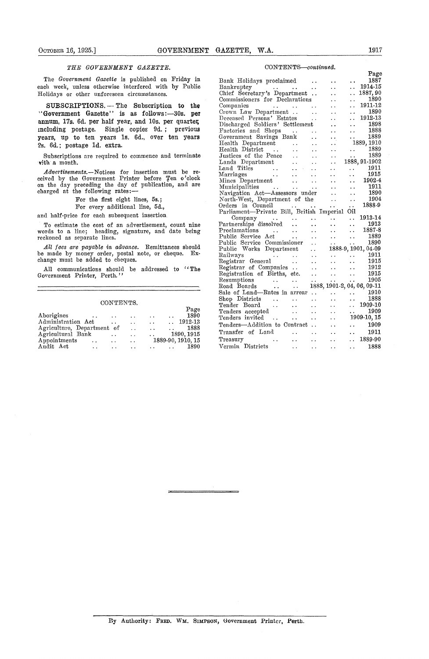### *THE GOVERNMENT GAZETTE.*

#### CONTENTS.

|                                      |                      |                      |                      | Page                            |
|--------------------------------------|----------------------|----------------------|----------------------|---------------------------------|
| Aborigines<br>. .                    | $\ddot{\phantom{1}}$ | $\cdot$ .            | $\ddot{\phantom{1}}$ | 1890<br>. .                     |
| Administration Act                   | . .                  | $\ddot{\phantom{0}}$ | $\ddotsc$            | 1912-13<br>$\ddot{\phantom{0}}$ |
| Agriculture, Department of           |                      | $\ddot{\phantom{0}}$ | $\ddot{\phantom{0}}$ | 1888<br>$\sim$ $\sim$           |
| Agricultural Bank                    | $\ddot{\phantom{0}}$ | . .                  | $\ddotsc$            | 1890, 1915                      |
| Appointments<br>$\ddot{\phantom{0}}$ | $\ddot{\phantom{1}}$ | $\ddotsc$            |                      | 1889-90, 1910, 15               |
| Audit Act<br>$\ddot{\phantom{0}}$    |                      | . .                  |                      | 1890                            |

#### *CONTENTS—continued.*

| GOVERNMENT GAZETTE,<br>Остовев 16, 1925.]                                                                                     | 1917<br>W.A.                                                                                                                                                                                                                                   |  |
|-------------------------------------------------------------------------------------------------------------------------------|------------------------------------------------------------------------------------------------------------------------------------------------------------------------------------------------------------------------------------------------|--|
| <i>THE GOVERNMENT GAZETTE.</i>                                                                                                | CONTENTS-continued.                                                                                                                                                                                                                            |  |
| The Government Gazette is published on Friday in                                                                              | Page                                                                                                                                                                                                                                           |  |
| each week, unless otherwise interfered with by Public                                                                         | 1887<br>Bank Holidays proclaimed<br>1914-15<br>Bankruptcy<br>$\ddot{\phantom{0}}$                                                                                                                                                              |  |
| Holidays or other unforeseen circumstances.                                                                                   | and the contract of the con-<br>1887, 90<br>Chief Secretary's Department<br>$\ddot{\phantom{a}}$<br>$\ddot{\phantom{0}}$                                                                                                                       |  |
|                                                                                                                               | 1890<br>Commissioners for Declarations<br>$\ddot{\phantom{a}}$ .<br>$\ddot{\phantom{0}}$                                                                                                                                                       |  |
| SUBSCRIPTIONS. - The Subscription to the                                                                                      | 1911-12<br>Companies<br><b>Service State</b><br>$\sim$ $\sim$                                                                                                                                                                                  |  |
| "Government Gazette" is as follows: -30s. per                                                                                 | 1890<br>Crown Law Department<br>$\sim 10$<br>$\ddot{\phantom{0}}$<br>. .                                                                                                                                                                       |  |
| annum, 17s. 6d. per half year, and 10s. per quarter,                                                                          | 1912-13<br>Deceased Persons' Estates<br>$\sim 100$<br>$\ddot{\phantom{1}}$<br>$\ddot{\phantom{0}}$                                                                                                                                             |  |
| ncluding postage. Single copies 9d.; previous                                                                                 | 1898<br>Discharged Soldiers' Settlement<br>$\ddot{\phantom{0}}$<br>$\ddot{\phantom{0}}$<br>1888                                                                                                                                                |  |
| years, up to ten years 1s. 6d., over ten years                                                                                | Factories and Shops<br><b>Contractor</b><br>$\ddot{\phantom{a}}$<br>$\ddot{\phantom{1}}$ .<br>1889<br>Government Savings Bank<br>$\ddot{\phantom{1}}$ .                                                                                        |  |
|                                                                                                                               | 1889, 1910<br>Health Department<br>$\sim 10^{-11}$<br>$\sim 10^{-1}$<br>$\ddot{\phantom{0}}$                                                                                                                                                   |  |
| 2s. 6d.; postage 1d. extra.                                                                                                   | 1889<br>Health District<br>$\sim 100$ km s $^{-1}$<br>$\ddot{\phantom{1}}$<br>$\mathbf{A} \cdot \mathbf{A}$ and $\mathbf{A} \cdot \mathbf{A}$<br>$\sim 10^{-1}$<br>$\ddot{\phantom{1}}$                                                        |  |
| Subscriptions are required to commence and terminate                                                                          | 1889<br>Justices of the Peace<br>$\sim 10^{-10}$<br>$\sim$ $\sim$<br>$\ddot{\phantom{0}}$<br>$\ddot{\phantom{1}}$                                                                                                                              |  |
| with a month.                                                                                                                 | 1888, 91-1902<br>Lands Department<br>$\mathbf{r}$ , $\mathbf{r}$ , $\mathbf{r}$ , $\mathbf{r}$<br>$\ddot{\phantom{a}}$<br>$\ddot{\phantom{0}}$                                                                                                 |  |
| <i>Advertisements.</i> —Notices for insertion must be re-                                                                     | Land Titles<br>1911<br>$\mathcal{L}(\mathcal{L})$<br>$\mathbf{r}$ , $\mathbf{r}$ , $\mathbf{r}$ , $\mathbf{r}$<br>$\ddot{\phantom{1}}$<br>$\sim 10^{-1}$<br>$\sim$ $\sim$                                                                      |  |
| eived by the Government Printer before Ten o'clock                                                                            | 1915<br>Marriages<br>$\mathbf{r}$ , and $\mathbf{r}$<br>$\sim 10^{-10}$<br>$\sim 10^{-1}$<br>$\ddot{\phantom{1}}$<br>$\ddot{\phantom{a}}$<br>1902-4                                                                                            |  |
| on the day preceding the day of publication, and are                                                                          | Mines Department<br>$\sim 10^{-11}$<br>$\sim$ $\sim$<br>$\ddot{\phantom{0}}$<br>$\ddot{\phantom{1}}$ .<br>1911<br>Municipalities<br>$\sim$ $\sim$<br>$\sim$ $\sim$<br>$\sim 10^{-10}$ .<br>$\ddot{\phantom{1}}$ .<br>$\ddot{\phantom{1}}$      |  |
| charged at the following rates:-                                                                                              | Navigation Act-Assessors under<br>1890<br>$\ddot{\phantom{a}}$<br>$\ddot{\phantom{0}}$                                                                                                                                                         |  |
| For the first eight lines, 5s.;                                                                                               | 1904<br>North-West, Department of the<br>$\ddot{\phantom{0}}$ .<br>$\ddot{\phantom{1}}$                                                                                                                                                        |  |
| For every additional line, 5d.,                                                                                               | Orders in Council<br>1888-9<br>$\ddot{\phantom{a}}$<br>$\ddot{\phantom{a}}$<br>$\sim 10^{-11}$                                                                                                                                                 |  |
| and half-price for each subsequent insertion.                                                                                 | Parliament-Private Bill, British Imperial Oil                                                                                                                                                                                                  |  |
|                                                                                                                               | 1913-14<br>Company<br>$\ddot{\phantom{a}}$<br>$\ddotsc$<br>$\ddot{\phantom{1}}$<br>$\sim$ $\sim$                                                                                                                                               |  |
| To estimate the cost of an advertisement, count nine                                                                          | 1913<br>Partnerships dissolved<br>$\ddotsc$<br>$\ddotsc$<br>$\ddot{\phantom{0}}$<br>$\ddot{\phantom{a}}$<br>1887-8<br>Proclamations<br>$\sim 100$ km s $^{-1}$<br>$\sim$ $\sim$<br>$\ddot{\phantom{1}}$ .<br>$\ddotsc$<br>$\ddot{\phantom{a}}$ |  |
| words to a line; heading, signature, and date being<br>eckoned as separate lines.                                             | 1889<br>Public Service Act<br>$\sim 10^{-1}$<br>$\ddot{\phantom{1}}$ .<br>$\ddot{\phantom{1}}$ .<br>$\ddot{\phantom{a}}$                                                                                                                       |  |
|                                                                                                                               | 1890<br>Public Service Commissioner<br>$\ddot{\phantom{0}}$                                                                                                                                                                                    |  |
| All fees are payable in advance. Remittances should                                                                           | 1888-9, 1901, 04-09<br>Public Works Department<br>$\sim 10^{-1}$                                                                                                                                                                               |  |
| be made by money order, postal note, or cheque.<br>Ex-<br>change must be added to cheques.                                    | Railways<br>1911<br>$\sim$ $\sim$<br>$\sim 10^{-11}$<br>$\sim$ $\sim$<br><b>Contract Contract</b><br>$\ddot{\phantom{1}}$ .                                                                                                                    |  |
|                                                                                                                               | Registrar General<br>1915<br>$\sim 10^{-11}$<br>$\sim 10^{-1}$<br>$\ddot{\phantom{a}}$ .<br>$\ddot{\phantom{0}}$                                                                                                                               |  |
| All communications should be addressed to "The                                                                                | 1912<br>Registrar of Companies<br>$\sim 10^{-10}$<br>$\ddotsc$<br>$\sim$ $\sim$<br>1915<br>Registration of Births, etc.<br>$\sim$ $\sim$                                                                                                       |  |
| Government Printer, Perth.''                                                                                                  | $\ddot{\phantom{1}}$ .<br>$\ddot{\phantom{0}}$<br>1905<br>Resumptions<br>$\sim$ $\sim$<br>$\sim$ $\sim$<br>$\sim$ $\sim$<br>$\sim$ $\sim$<br>$\ddot{\phantom{1}}$                                                                              |  |
|                                                                                                                               | 1888, 1901-2, 04, 06, 09-11<br>Road Boards<br>$\ddot{\phantom{0}}$ .<br>$\bullet$ $\bullet$                                                                                                                                                    |  |
|                                                                                                                               | 1910<br>Sale of Land-Rates in arrear<br>. .<br>$\ddot{\phantom{1}}$                                                                                                                                                                            |  |
| CONTENTS.                                                                                                                     | 1888<br>Shop Districts<br>$\ddot{\phantom{a}}$<br>. .<br>$\ddot{\phantom{1}}$<br>$\ddot{\phantom{0}}$<br>$\ddot{\phantom{a}}$                                                                                                                  |  |
| Page                                                                                                                          | 1909-10<br>Tender Board<br>$\sim$ $\sim$<br>$\ddot{\phantom{0}}$<br>$\ddot{\phantom{1}}$<br>$\ddot{\phantom{1}}$ .<br>$\ddot{\phantom{1}}$                                                                                                     |  |
| 1890<br>Aborigines                                                                                                            | 1909<br>Tenders accepted<br>$\ddot{\phantom{0}}$<br>$\ddotsc$<br>$\ddot{\phantom{0}}$<br>$\ddot{\phantom{0}}$                                                                                                                                  |  |
| Administration Act<br>1912-13<br>$\ddot{\phantom{1}}$<br>$\ddot{\phantom{1}}$<br>$\ddot{\phantom{1}}$<br>$\ddot{\phantom{a}}$ | 1909-10, 15<br>Tenders invited<br>$\ddot{\phantom{1}}$<br>$\sim$ $\sim$<br>$\ddot{\phantom{1}}$<br>$\ddot{\phantom{1}}$ .                                                                                                                      |  |
| Agriculture, Department of<br>1888<br>$\ddot{\phantom{0}}$<br>$\ddot{\phantom{0}}$<br>$\ddot{\phantom{1}}$                    | 1909<br>Tenders-Addition to Contract<br>$\ddot{\phantom{0}}$<br>$\ddot{\phantom{1}}$                                                                                                                                                           |  |
| Agricultural Bank<br>1890, 1915<br>$\ddot{\phantom{0}}$<br>$\ddot{\phantom{1}}$ .<br>$\ddot{\phantom{0}}$                     | Transfer of Land<br>1911<br>$\ddotsc$<br>$\sim$ $\sim$<br>$\sim$ $\sim$<br>$\ddot{\phantom{0}}$                                                                                                                                                |  |
| Appointments<br>1889-90, 1910, 15<br>$\ddot{\phantom{a}}$ .<br>$\sim$ $\sim$<br>$\ddotsc$                                     | 1889-90<br>Treasury<br>$\ddot{\phantom{1}}$<br>$\epsilon$ .<br>$\ddot{\phantom{1}}$<br>$\ddot{\phantom{1}}$ .<br>$\ddot{\phantom{0}}$                                                                                                          |  |
| Audit Act<br>1890<br>$\epsilon$ .<br>$\ddot{\phantom{0}}$<br>$\ddot{\phantom{a}}$ .<br>$\ddot{\phantom{0}}$<br>$\sim$ $\sim$  | Vermin Districts<br>1888<br>$\ddotsc$<br>$\ddot{\phantom{a}}$ .<br>$\ddot{\phantom{1}}$ .<br>$\ddot{\phantom{1}}$                                                                                                                              |  |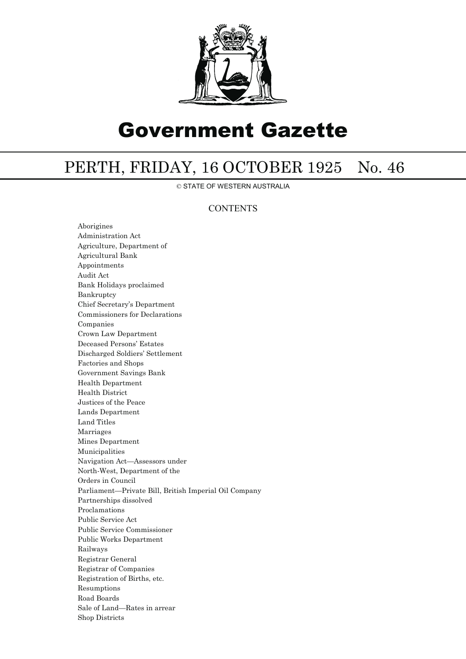

# Government Gazette

## PERTH, FRIDAY, 16 OCTOBER 1925 No. 46

© STATE OF WESTERN AUSTRALIA

### **CONTENTS**

Aborigines Administration Act Agriculture, Department of Agricultural Bank Appointments Audit Act Bank Holidays proclaimed Bankruptcy Chief Secretary's Department Commissioners for Declarations Companies Crown Law Department Deceased Persons' Estates Discharged Soldiers' Settlement Factories and Shops Government Savings Bank Health Department Health District Justices of the Peace Lands Department Land Titles Marriages Mines Department Municipalities Navigation Act—Assessors under North-West, Department of the Orders in Council Parliament—Private Bill, British Imperial Oil Company Partnerships dissolved Proclamations Public Service Act Public Service Commissioner Public Works Department Railways Registrar General Registrar of Companies Registration of Births, etc. Resumptions Road Boards Sale of Land—Rates in arrear Shop Districts